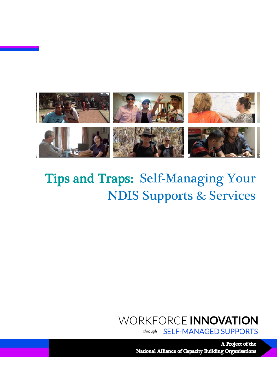

Ξ

# Tips and Traps: Self-Managing Your NDIS Supports & Services

# WORKFORCE INNOVATION

**SELF-MANAGED SUPPORTS** through

A Project of the **National Alliance of Capacity Building Organisations**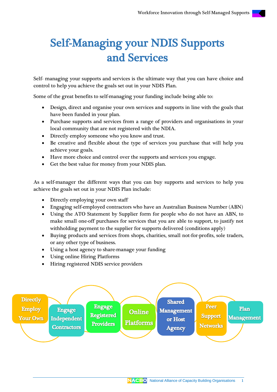# Self-Managing your NDIS Supports and Services

Self- managing your supports and services is the ultimate way that you can have choice and control to help you achieve the goals set out in your NDIS Plan.

Some of the great benefits to self-managing your funding include being able to:

- Design, direct and organise your own services and supports in line with the goals that have been funded in your plan.
- Purchase supports and services from a range of providers and organisations in your local community that are not registered with the NDIA.
- Directly employ someone who you know and trust.
- Be creative and flexible about the type of services you purchase that will help you achieve your goals.
- Have more choice and control over the supports and services you engage.
- Get the best value for money from your NDIS plan.

As a self-manager the different ways that you can buy supports and services to help you achieve the goals set out in your NDIS Plan include:

- Directly employing your own staff
- Engaging self-employed contractors who have an Australian Business Number (ABN)
- Using the ATO Statement by Supplier form for people who do not have an ABN, to make small one-off purchases for services that you are able to support, to justify not withholding payment to the supplier for supports delivered (conditions apply)
- Buying products and services from shops, charities, small not-for-profits, sole traders, or any other type of business.
- Using a host agency to share-manage your funding
- Using online Hiring Platforms
- Hiring registered NDIS service providers

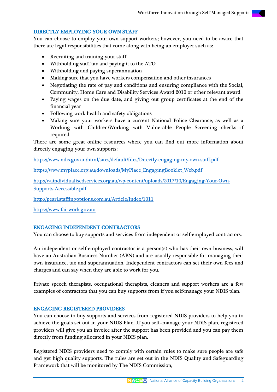### DIRECTLY EMPLOYING YOUR OWN STAFF

You can choose to employ your own support workers; however, you need to be aware that there are legal responsibilities that come along with being an employer such as:

- Recruiting and training your staff
- Withholding staff tax and paying it to the ATO
- Withholding and paying superannuation
- Making sure that you have workers compensation and other insurances
- Negotiating the rate of pay and conditions and ensuring compliance with the Social, Community, Home Care and Disability Services Award 2010 or other relevant award
- Paying wages on the due date, and giving out group certificates at the end of the financial year
- Following work health and safety obligations
- Making sure your workers have a current National Police Clearance, as well as a Working with Children/Working with Vulnerable People Screening checks if required.

There are some great online resources where you can find out more information about directly engaging your own supports:

<https://www.ndis.gov.au/html/sites/default/files/Directly-engaging-my-own-staff.pdf>

[https://www.myplace.org.au/downloads/MyPlace\\_EngagingBooklet\\_Web.pdf](https://www.myplace.org.au/downloads/MyPlace_EngagingBooklet_Web.pdf)

[http://waindividualisedservices.org.au/wp-content/uploads/2017/10/Engaging-Your-Own-](http://waindividualisedservices.org.au/wp-content/uploads/2017/10/Engaging-Your-Own-Supports-Accessible.pdf)[Supports-Accessible.pdf](http://waindividualisedservices.org.au/wp-content/uploads/2017/10/Engaging-Your-Own-Supports-Accessible.pdf)

<http://pearl.staffingoptions.com.au/Article/Index/1011>

[https://www.fairwork.gov.au](https://www.fairwork.gov.au/)

### ENGAGING INDEPENDENT CONTRACTORS

You can choose to buy supports and services from independent or self-employed contractors.

An independent or self-employed contractor is a person(s) who has their own business, will have an Australian Business Number (ABN) and are usually responsible for managing their own insurance, tax and superannuation. Independent contractors can set their own fees and charges and can say when they are able to work for you.

Private speech therapists, occupational therapists, cleaners and support workers are a few examples of contractors that you can buy supports from if you self-manage your NDIS plan.

### ENGAGING REGISTERED PROVIDERS

You can choose to buy supports and services from registered NDIS providers to help you to achieve the goals set out in your NDIS Plan. If you self–manage your NDIS plan, registered providers will give you an invoice after the support has been provided and you can pay them directly from funding allocated in your NDIS plan.

Registered NDIS providers need to comply with certain rules to make sure people are safe and get high quality supports. The rules are set out in the NDIS Quality and Safeguarding Framework that will be monitored by The NDIS Commission,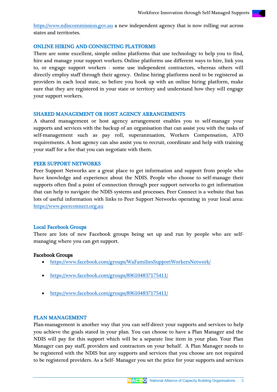[https://www.ndiscommission.gov.au](https://www.ndiscommission.gov.au/) a new independent agency that is now rolling out across states and territories.

#### ONLINE HIRING AND CONNECTING PLATFORMS

There are some excellent, simple online platforms that use technology to help you to find, hire and manage your support workers. Online platforms use different ways to hire, link you to, or engage support workers - some use independent contractors, whereas others will directly employ staff through their agency. Online hiring platforms need to be registered as providers in each local state, so before you hook up with an online hiring platform, make sure that they are registered in your state or territory and understand how they will engage your support workers.

#### SHARED MANAGEMENT OR HOST AGENCY ARRANGEMENTS

A shared management or host agency arrangement enables you to self-manage your supports and services with the backup of an organisation that can assist you with the tasks of self-management such as pay roll, superannuation, Workers Compensation, ATO requirements. A host agency can also assist you to recruit, coordinate and help with training your staff for a fee that you can negotiate with them.

#### PEER SUPPORT NETWORKS

Peer Support Networks are a great place to get information and support from people who have knowledge and experience about the NDIS. People who choose to self-manage their supports often find a point of connection through peer support networks to get information that can help to navigate the NDIS systems and processes. Peer Connect is a website that has lots of useful information with links to Peer Support Networks operating in your local area: [https://www.peerconnect.org.au](https://www.peerconnect.org.au/)

#### Local Facebook Groups

There are lots of new Facebook groups being set up and run by people who are selfmanaging where you can get support.

#### Facebook Groups

- <https://www.facebook.com/groups/WaFamiliesSupportWorkersNetwork/>
- <https://www.facebook.com/groups/896104837175411/>
- <https://www.facebook.com/groups/896104837175411/>

#### PLAN MANAGEMENT

Plan-management is another way that you can self-direct your supports and services to help you achieve the goals stated in your plan. You can choose to have a Plan Manager and the NDIS will pay for this support which will be a separate line item in your plan. Your Plan Manager can pay staff, providers and contractors on your behalf. A Plan Manager needs to be registered with the NDIS but any supports and services that you choose are not required to be registered providers. As a Self- Manager you set the price for your supports and services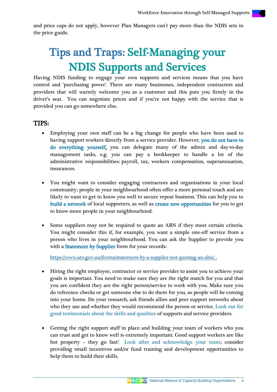and price caps do not apply, however Plan Managers can't pay more than the NDIS sets in the price guide.

# Tips and Traps: Self-Managing your NDIS Supports and Services

Having NDIS funding to engage your own supports and services means that you have control and 'purchasing power'. There are many businesses, independent contractors and providers that will warmly welcome you as a customer and this puts you firmly in the driver's seat. You can negotiate prices and if you're not happy with the service that is provided you can go somewhere else.

# TIPS:

- Employing your own staff can be a big change for people who have been used to having support workers directly from a service provider. However, you do not have to do everything yourself, you can delegate many of the admin and day-to-day management tasks, e.g. you can pay a bookkeeper to handle a lot of the administrative responsibilities: payroll, tax, workers compensation, superannuation, insurances.
- You might want to consider engaging contractors and organisations in your local community; people in your neighbourhood often offer a more personal touch and are likely to want to get to know you well to secure repeat business. This can help you to build a network of local supporters, as well as create new opportunities for you to get to know more people in your neighbourhood.
- Some suppliers may not be required to quote an ABN if they meet certain criteria. You might consider this if, for example, you want a simple one-off service from a person who lives in your neighbourhood. You can ask the Supplier to provide you with a Statement by Supplier form for your records:

<https://www.ato.gov.au/forms/statement-by-a-supplier-not-quoting-an-abn/> .

- Hiring the right employee, contractor or service provider to assist you to achieve your goals is important. You need to make sure they are the right match for you and that you are confident they are the right person/service to work with you. Make sure you do reference checks or get someone else to do them for you, as people will be coming into your home. Do your research, ask friends allies and peer support networks about who they use and whether they would recommend the person or service. Look out for good testimonials about the skills and qualities of supports and service providers.
- Getting the right support staff in place and building your team of workers who you can trust and get to know well is extremely important. Good support workers are like hot property – they go fast! Look after and acknowledge your team; consider providing small incentives and/or fund training and development opportunities to help them to build their skills.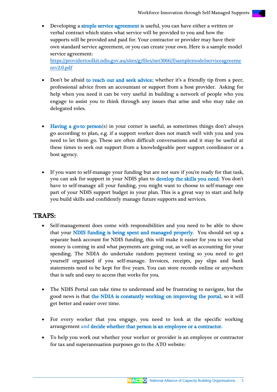Developing a simple service agreement is useful, you can have either a written or verbal contract which states what service will be provided to you and how the supports will be provided and paid for. Your contractor or provider may have their own standard service agreement, or you can create your own. Here is a sample model service agreement:

[https://providertoolkit.ndis.gov.au/sites/g/files/net3066/f/samplemodelserviceagreeme](https://providertoolkit.ndis.gov.au/sites/g/files/net3066/f/samplemodelserviceagreementv2.0.pdf) [ntv2.0.pdf](https://providertoolkit.ndis.gov.au/sites/g/files/net3066/f/samplemodelserviceagreementv2.0.pdf)

- Don't be afraid to reach out and seek advice; whether it's a friendly tip from a peer, professional advice from an accountant or support from a host provider. Asking for help when you need it can be very useful in building a network of people who you engage to assist you to think through any issues that arise and who may take on delegated roles.
- Having a go-to person(s) in your corner is useful, as sometimes things don't always go according to plan, e.g. if a support worker does not match well with you and you need to let them go. These are often difficult conversations and it may be useful at these times to seek out support from a knowledgeable peer support coordinator or a host agency.
- If you want to self-manage your funding but are not sure if you're ready for that task, you can ask for support in your NDIS plan to develop the skills you need. You don't have to self-manage all your funding, you might want to choose to self-manage one part of your NDIS support budget in your plan. This is a great way to start and help you build skills and confidently manage future supports and services.

# TRAPS:

- Self-management does come with responsibilities and you need to be able to show that your NDIS funding is being spent and managed properly. You should set up a separate bank account for NDIS funding, this will make it easier for you to see what money is coming in and what payments are going out, as well as accounting for your spending. The NDIA do undertake random payment testing so you need to get yourself organised if you self-manage. Invoices, receipts, pay slips and bank statements need to be kept for five years. You can store records online or anywhere that is safe and easy to access that works for you.
- The NDIS Portal can take time to understand and be frustrating to navigate, but the good news is that the NDIA is constantly working on improving the portal, so it will get better and easier over time.
- For every worker that you engage, you need to look at the specific working arrangement and decide whether that person is an employee or a contractor.
- To help you work out whether your worker or provider is an employee or contractor for tax and superannuation purposes go to the ATO website: